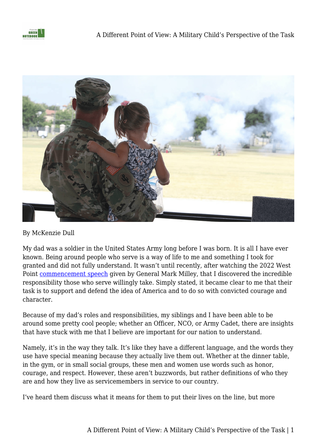



## By McKenzie Dull

My dad was a soldier in the United States Army long before I was born. It is all I have ever known. Being around people who serve is a way of life to me and something I took for granted and did not fully understand. It wasn't until recently, after watching the 2022 West Point [commencement speech](https://docs.google.com/document/u/0/d/1njc3uu6ylMfMYRRquVHWPoAtWF9wAjUeL-Rj4Fga5y4/edit) given by General Mark Milley, that I discovered the incredible responsibility those who serve willingly take. Simply stated, it became clear to me that their task is to support and defend the idea of America and to do so with convicted courage and character.

Because of my dad's roles and responsibilities, my siblings and I have been able to be around some pretty cool people; whether an Officer, NCO, or Army Cadet, there are insights that have stuck with me that I believe are important for our nation to understand.

Namely, it's in the way they talk. It's like they have a different language, and the words they use have special meaning because they actually live them out. Whether at the dinner table, in the gym, or in small social groups, these men and women use words such as honor, courage, and respect. However, these aren't buzzwords, but rather definitions of who they are and how they live as servicemembers in service to our country.

I've heard them discuss what it means for them to put their lives on the line, but more